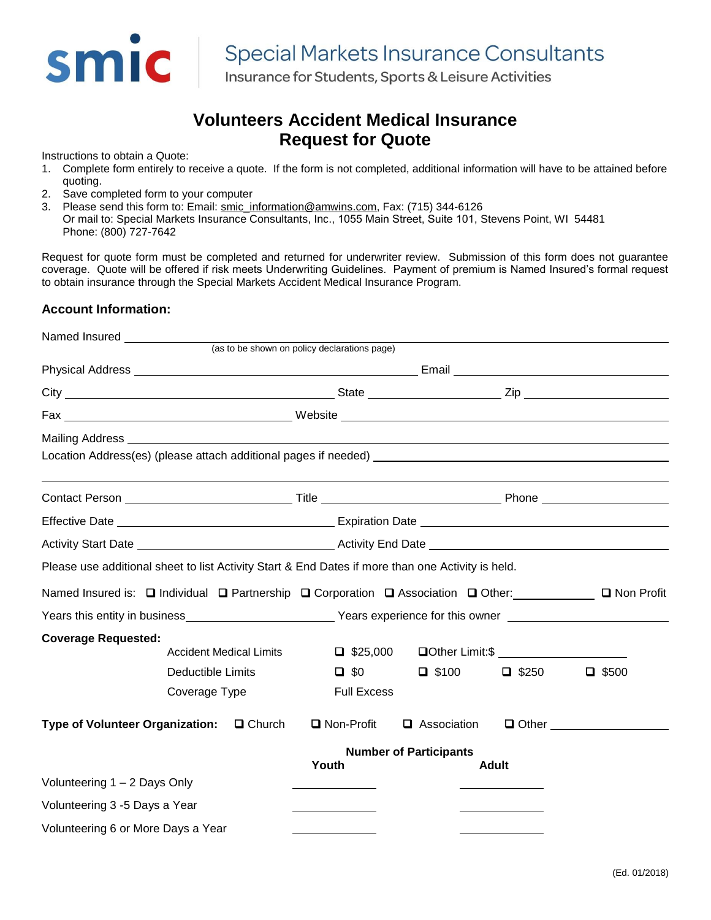

Insurance for Students, Sports & Leisure Activities

## **Volunteers Accident Medical Insurance Request for Quote**

Instructions to obtain a Quote:

- 1. Complete form entirely to receive a quote. If the form is not completed, additional information will have to be attained before quoting.
- 2. Save completed form to your computer
- 3. Please send this form to: Email: [smic\\_information@amwins.com,](mailto:info@specialmarkets.com) Fax: (715) 344-6126
- Or mail to: Special Markets Insurance Consultants, Inc., 1055 Main Street, Suite 101, Stevens Point, WI 54481 Phone: (800) 727-7642

Request for quote form must be completed and returned for underwriter review. Submission of this form does not guarantee coverage. Quote will be offered if risk meets Underwriting Guidelines. Payment of premium is Named Insured's formal request to obtain insurance through the Special Markets Accident Medical Insurance Program.

#### **Account Information:**

| Named Insured Name Controller                                                                                                                                                                                                  |                                |  |                                                                                                                                  |                               |              |              |
|--------------------------------------------------------------------------------------------------------------------------------------------------------------------------------------------------------------------------------|--------------------------------|--|----------------------------------------------------------------------------------------------------------------------------------|-------------------------------|--------------|--------------|
|                                                                                                                                                                                                                                |                                |  | (as to be shown on policy declarations page)                                                                                     |                               |              |              |
|                                                                                                                                                                                                                                |                                |  |                                                                                                                                  |                               |              |              |
|                                                                                                                                                                                                                                |                                |  |                                                                                                                                  |                               |              |              |
|                                                                                                                                                                                                                                |                                |  |                                                                                                                                  |                               |              |              |
| Mailing Address Learning Communication and the communication of the communication of the communication of the communication of the communication of the communication of the communication of the communication of the communi |                                |  |                                                                                                                                  |                               |              |              |
|                                                                                                                                                                                                                                |                                |  |                                                                                                                                  |                               |              |              |
|                                                                                                                                                                                                                                |                                |  |                                                                                                                                  |                               |              |              |
|                                                                                                                                                                                                                                |                                |  |                                                                                                                                  |                               |              |              |
|                                                                                                                                                                                                                                |                                |  | Activity Start Date <u>New York: Activity End Date New York: Activity End Date</u>                                               |                               |              |              |
| Please use additional sheet to list Activity Start & End Dates if more than one Activity is held.                                                                                                                              |                                |  |                                                                                                                                  |                               |              |              |
| Named Insured is: □ Individual □ Partnership □ Corporation □ Association □ Other: □ □ Non Profit                                                                                                                               |                                |  |                                                                                                                                  |                               |              |              |
|                                                                                                                                                                                                                                |                                |  | Years this entity in business <b>Exercise 2 Years</b> experience for this owner <b>Theorem 2 Years</b> experience for this owner |                               |              |              |
| <b>Coverage Requested:</b>                                                                                                                                                                                                     |                                |  |                                                                                                                                  |                               |              |              |
|                                                                                                                                                                                                                                | <b>Accident Medical Limits</b> |  |                                                                                                                                  |                               |              |              |
|                                                                                                                                                                                                                                | Deductible Limits              |  | $\Box$ \$0                                                                                                                       | $\Box$ \$100                  | $\Box$ \$250 | $\Box$ \$500 |
|                                                                                                                                                                                                                                | Coverage Type                  |  | <b>Full Excess</b>                                                                                                               |                               |              |              |
| Type of Volunteer Organization: Q Church                                                                                                                                                                                       |                                |  | □ Non-Profit                                                                                                                     | Association                   | $\Box$ Other |              |
|                                                                                                                                                                                                                                |                                |  |                                                                                                                                  | <b>Number of Participants</b> |              |              |
| Volunteering 1 - 2 Days Only                                                                                                                                                                                                   |                                |  | Youth                                                                                                                            |                               | <b>Adult</b> |              |
|                                                                                                                                                                                                                                |                                |  |                                                                                                                                  |                               |              |              |
| Volunteering 3 -5 Days a Year                                                                                                                                                                                                  |                                |  |                                                                                                                                  |                               |              |              |
| Volunteering 6 or More Days a Year                                                                                                                                                                                             |                                |  |                                                                                                                                  |                               |              |              |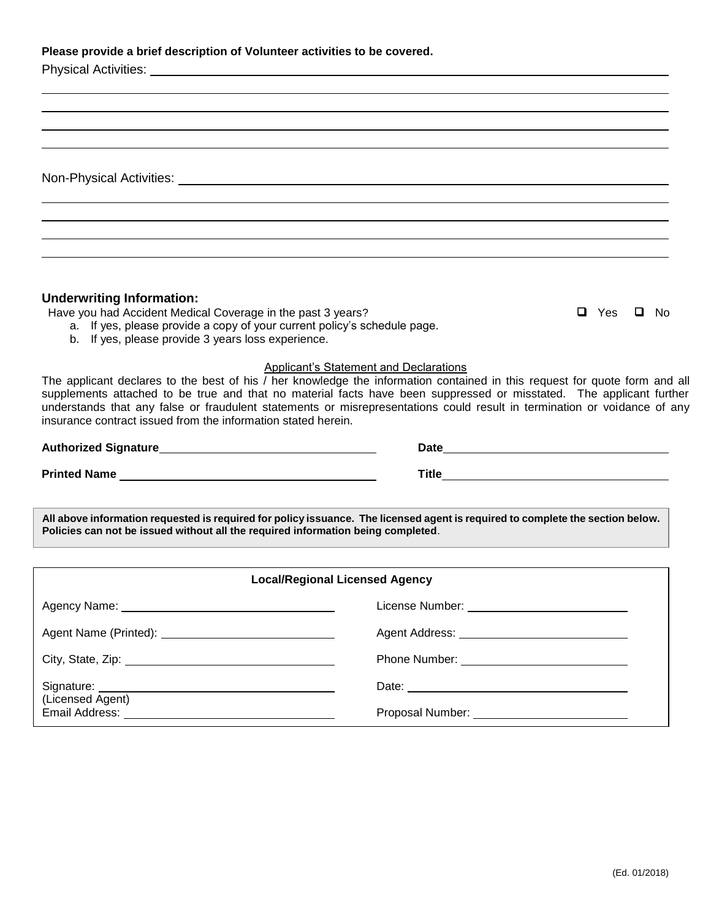**Non-Physical Activities:** 

### **Underwriting Information:**

Have you had Accident Medical Coverage in the past 3 years?  $\Box$  Yes  $\Box$  Yes  $\Box$  No

- a. If yes, please provide a copy of your current policy's schedule page.
- b. If yes, please provide 3 years loss experience.

#### Applicant's Statement and Declarations

The applicant declares to the best of his / her knowledge the information contained in this request for quote form and all supplements attached to be true and that no material facts have been suppressed or misstated. The applicant further understands that any false or fraudulent statements or misrepresentations could result in termination or voidance of any insurance contract issued from the information stated herein.

**Printed Name** Title

**All above information requested is required for policy issuance. The licensed agent is required to complete the section below. Policies can not be issued without all the required information being completed**.

| <b>Local/Regional Licensed Agency</b> |                                                                                                                                                                                                                               |  |  |  |  |
|---------------------------------------|-------------------------------------------------------------------------------------------------------------------------------------------------------------------------------------------------------------------------------|--|--|--|--|
|                                       | License Number: ______________________________                                                                                                                                                                                |  |  |  |  |
|                                       |                                                                                                                                                                                                                               |  |  |  |  |
|                                       |                                                                                                                                                                                                                               |  |  |  |  |
|                                       |                                                                                                                                                                                                                               |  |  |  |  |
| (Licensed Agent)                      | Proposal Number: The Contract of the Contract of the Contract of the Contract of the Contract of the Contract of the Contract of the Contract of the Contract of the Contract of the Contract of the Contract of the Contract |  |  |  |  |

(Ed. 01/2018)

# Authorized Signature **Mathorized Signature Date Date Date Date Date Date Date Date Date Date Date Date Date Date Date Date Date Date Date Date Date Date Date Date Date Da**